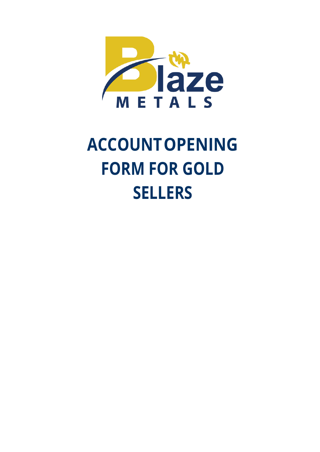

# **ACCOUNTOPENING FORM FOR GOLD SELLERS**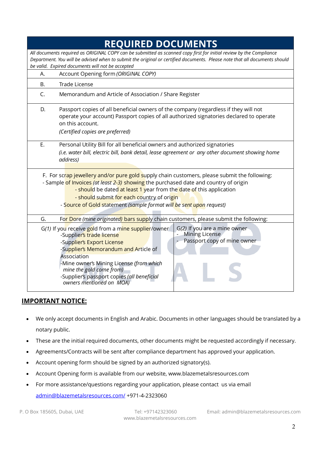|                                                                                                                                                                                                                                                                                                                                                                                   | <b>REQUIRED DOCUMENTS</b>                                                                                                                                                                                                                                                                                                                                                                                  |  |  |  |  |
|-----------------------------------------------------------------------------------------------------------------------------------------------------------------------------------------------------------------------------------------------------------------------------------------------------------------------------------------------------------------------------------|------------------------------------------------------------------------------------------------------------------------------------------------------------------------------------------------------------------------------------------------------------------------------------------------------------------------------------------------------------------------------------------------------------|--|--|--|--|
|                                                                                                                                                                                                                                                                                                                                                                                   | All documents required as ORIGINAL COPY can be submitted as scanned copy first for initial review by the Compliance<br>Department. You will be advised when to submit the original or certified documents. Please note that all documents should<br>be valid. Expired documents will not be accepted                                                                                                       |  |  |  |  |
| А.                                                                                                                                                                                                                                                                                                                                                                                | Account Opening form (ORIGINAL COPY)                                                                                                                                                                                                                                                                                                                                                                       |  |  |  |  |
| В.                                                                                                                                                                                                                                                                                                                                                                                | Trade License                                                                                                                                                                                                                                                                                                                                                                                              |  |  |  |  |
| C.                                                                                                                                                                                                                                                                                                                                                                                | Memorandum and Article of Association / Share Register                                                                                                                                                                                                                                                                                                                                                     |  |  |  |  |
| D.                                                                                                                                                                                                                                                                                                                                                                                | Passport copies of all beneficial owners of the company (regardless if they will not<br>operate your account) Passport copies of all authorized signatories declared to operate<br>on this account.<br>(Certified copies are preferred)                                                                                                                                                                    |  |  |  |  |
| E.                                                                                                                                                                                                                                                                                                                                                                                | Personal Utility Bill for all beneficial owners and authorized signatories<br>(i.e. water bill, electric bill, bank detail, lease agreement or any other document showing home<br>address)                                                                                                                                                                                                                 |  |  |  |  |
| F. For scrap jewellery and/or pure gold supply chain customers, please submit the following:<br>- Sample of Invoices (at least 2-3) showing the purchased date and country of origin<br>- should be dated at least 1 year from the date of this application<br>- should submit for each country of origin<br>- Source of Gold statement (sample format will be sent upon request) |                                                                                                                                                                                                                                                                                                                                                                                                            |  |  |  |  |
| G.                                                                                                                                                                                                                                                                                                                                                                                | For Dore (mine originated) bars supply chain customers, please submit the following:                                                                                                                                                                                                                                                                                                                       |  |  |  |  |
|                                                                                                                                                                                                                                                                                                                                                                                   | G(1) If you receive gold from a mine supplier/owner<br>G(2) If you are a mine owner<br>Mining License<br>-Supplier's trade license<br>Passport copy of mine owner<br>-Supplier's Export License<br>-Supplier's Memorandum and Article of<br>Association<br>-Mine owner's Mining License (from which<br>mine the gold come from)<br>-Supplier's passport copies (all beneficial<br>owners mentioned on MOA) |  |  |  |  |

#### **IMPORTANT NOTICE:**

- We only accept documents in English and Arabic. Documents in other languages should be translated by a notary public.
- These are the initial required documents, other documents might be requested accordingly if necessary.
- Agreements/Contracts will be sent after compliance department has approved your application.
- Account opening form should be signed by an authorized signatory(s).
- Account Opening form is available from our website, www.blazemetalsresources.com
- For more assistance/questions regarding your application, please contact us via email [admin@blazemetalsresources.com/](mailto:admin@blazemetalsresources.com/) +971-4-2323060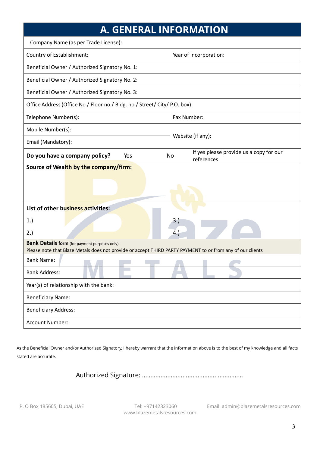|                                                                                                                                                                    | <b>A. GENERAL INFORMATION</b>                                      |  |  |  |
|--------------------------------------------------------------------------------------------------------------------------------------------------------------------|--------------------------------------------------------------------|--|--|--|
| Company Name (as per Trade License):                                                                                                                               |                                                                    |  |  |  |
| Country of Establishment:                                                                                                                                          | Year of Incorporation:                                             |  |  |  |
| Beneficial Owner / Authorized Signatory No. 1:                                                                                                                     |                                                                    |  |  |  |
| Beneficial Owner / Authorized Signatory No. 2:                                                                                                                     |                                                                    |  |  |  |
| Beneficial Owner / Authorized Signatory No. 3:                                                                                                                     |                                                                    |  |  |  |
| Office Address (Office No./ Floor no./ Bldg. no./ Street/ City/ P.O. box):                                                                                         |                                                                    |  |  |  |
| Telephone Number(s):                                                                                                                                               | Fax Number:                                                        |  |  |  |
| Mobile Number(s):                                                                                                                                                  |                                                                    |  |  |  |
| Email (Mandatory):                                                                                                                                                 | Website (if any):                                                  |  |  |  |
| Do you have a company policy?<br>Yes                                                                                                                               | If yes please provide us a copy for our<br><b>No</b><br>references |  |  |  |
| Source of Wealth by the company/firm:                                                                                                                              |                                                                    |  |  |  |
|                                                                                                                                                                    |                                                                    |  |  |  |
| List of other business activities:                                                                                                                                 |                                                                    |  |  |  |
| 1.)                                                                                                                                                                |                                                                    |  |  |  |
| 2.)                                                                                                                                                                | 4.)                                                                |  |  |  |
| <b>Bank Details form</b> (for payment purposes only)<br>Please note that Blaze Metals does not provide or accept THIRD PARTY PAYMENT to or from any of our clients |                                                                    |  |  |  |
| <b>Bank Name:</b>                                                                                                                                                  |                                                                    |  |  |  |
| <b>Bank Address:</b>                                                                                                                                               |                                                                    |  |  |  |
| Year(s) of relationship with the bank:                                                                                                                             |                                                                    |  |  |  |
| <b>Beneficiary Name:</b>                                                                                                                                           |                                                                    |  |  |  |
| <b>Beneficiary Address:</b>                                                                                                                                        |                                                                    |  |  |  |
| Account Number:                                                                                                                                                    |                                                                    |  |  |  |

As the Beneficial Owner and/or Authorized Signatory, I hereby warrant that the information above is to the best of my knowledge and all facts stated are accurate.

Authorized Signature: ……………………………………………………

www.blazemetalsresources.com

P. O Box 185605, Dubai, UAE Tel: +97142323060 Email: admin@blazemetalsresources.com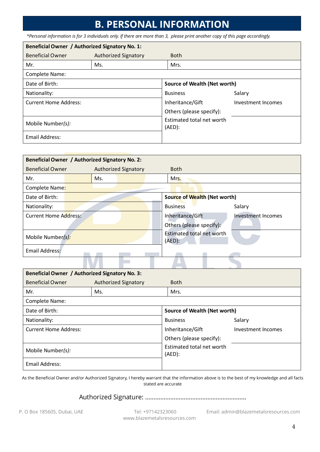### **B. PERSONAL INFORMATION**

*\*Personal information is for 3 individuals only. If there are more than 3, please print another copy of this page accordingly.*

| Beneficial Owner / Authorized Signatory No. 1: |                             |                                        |                    |  |
|------------------------------------------------|-----------------------------|----------------------------------------|--------------------|--|
| <b>Beneficial Owner</b>                        | <b>Authorized Signatory</b> | <b>Both</b>                            |                    |  |
| Mr.                                            | Ms.                         | Mrs.                                   |                    |  |
| Complete Name:                                 |                             |                                        |                    |  |
| Date of Birth:                                 |                             | Source of Wealth (Net worth)           |                    |  |
| Nationality:                                   |                             | <b>Business</b>                        | Salary             |  |
| <b>Current Home Address:</b>                   |                             | Inheritance/Gift                       | Investment Incomes |  |
|                                                |                             | Others (please specify):               |                    |  |
| Mobile Number(s):                              |                             | Estimated total net worth<br>$(AED)$ : |                    |  |
| Email Address:                                 |                             |                                        |                    |  |

| Beneficial Owner / Authorized Signatory No. 2: |  |     |                                               |                          |                              |        |
|------------------------------------------------|--|-----|-----------------------------------------------|--------------------------|------------------------------|--------|
| <b>Beneficial Owner</b>                        |  |     | <b>Authorized Signatory</b>                   | <b>Both</b>              |                              |        |
| Mr.                                            |  | Ms. |                                               | Mrs.                     |                              |        |
| Complete Name:                                 |  |     |                                               |                          |                              |        |
| Date of Birth:                                 |  |     |                                               |                          | Source of Wealth (Net worth) |        |
| Nationality:                                   |  |     |                                               | <b>Business</b>          |                              | Salary |
| Current Home Address:                          |  |     | Inheritance/Gift                              |                          | <b>Investment Incomes</b>    |        |
|                                                |  |     |                                               | Others (please specify): |                              |        |
| Mobile Number(s):                              |  |     | <b>Estimated total net worth</b><br>$(AED)$ : |                          |                              |        |
| Email Address:                                 |  |     |                                               |                          |                              |        |
|                                                |  |     |                                               |                          |                              |        |

| Beneficial Owner / Authorized Signatory No. 3: |                      |                                        |                    |  |  |
|------------------------------------------------|----------------------|----------------------------------------|--------------------|--|--|
| <b>Beneficial Owner</b>                        | Authorized Signatory | <b>Both</b>                            |                    |  |  |
| Mr.                                            | Ms.                  | Mrs.                                   |                    |  |  |
| Complete Name:                                 |                      |                                        |                    |  |  |
| Date of Birth:                                 |                      | Source of Wealth (Net worth)           |                    |  |  |
| Nationality:                                   |                      | <b>Business</b>                        | Salary             |  |  |
| <b>Current Home Address:</b>                   |                      | Inheritance/Gift                       | Investment Incomes |  |  |
|                                                |                      | Others (please specify):               |                    |  |  |
| Mobile Number(s):                              |                      | Estimated total net worth<br>$(AED)$ : |                    |  |  |
| Email Address:                                 |                      |                                        |                    |  |  |

As the Beneficial Owner and/or Authorized Signatory, I hereby warrant that the information above is to the best of my knowledge and all facts stated are accurate

#### Authorized Signature: ……………………………………………………

www.blazemetalsresources.com

P. O Box 185605, Dubai, UAE Tel: +97142323060 Email: admin@blazemetalsresources.com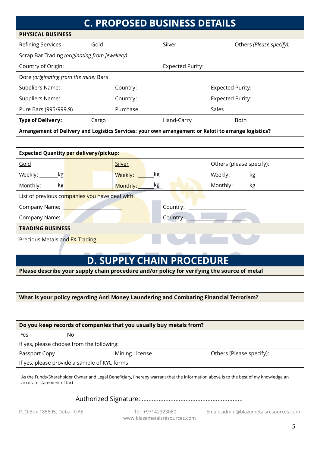| <b>C. PROPOSED BUSINESS DETAILS</b>                                                                  |          |                         |                          |  |  |
|------------------------------------------------------------------------------------------------------|----------|-------------------------|--------------------------|--|--|
| <b>PHYSICAL BUSINESS</b>                                                                             |          |                         |                          |  |  |
| <b>Refining Services</b><br>Gold                                                                     |          | Silver                  | Others (Please specify): |  |  |
| Scrap Bar Trading (originating from jewellery)                                                       |          |                         |                          |  |  |
| Country of Origin:                                                                                   |          | <b>Expected Purity:</b> |                          |  |  |
| Dore (originating from the mine) Bars                                                                |          |                         |                          |  |  |
| Supplier's Name:                                                                                     | Country: |                         | <b>Expected Purity:</b>  |  |  |
| Supplier's Name:                                                                                     | Country: |                         | <b>Expected Purity:</b>  |  |  |
| Pure Bars (995/999.9)                                                                                | Purchase |                         | Sales                    |  |  |
| <b>Type of Delivery:</b><br>Cargo                                                                    |          | Hand-Carry              | Both                     |  |  |
| Arrangement of Delivery and Logistics Services: your own arrangement or Kaloti to arrange logistics? |          |                         |                          |  |  |
|                                                                                                      |          |                         |                          |  |  |
| <b>Expected Quantity per delivery/pickup:</b>                                                        |          |                         |                          |  |  |
| Gold                                                                                                 | Silver   |                         | Others (please specify): |  |  |
| Weekly: _________kg                                                                                  | Weekly:  | kg                      | Weekly:__________kg      |  |  |
| Monthly: _______kg                                                                                   | Monthly: | kg                      | Monthly: _______kg       |  |  |
| List of previous companies you have deal with:                                                       |          |                         |                          |  |  |
| Company Name: 2008                                                                                   |          | Country:                |                          |  |  |
| Company Name: Value                                                                                  |          | Country:                |                          |  |  |
| <b>TRADING BUSINESS</b>                                                                              |          |                         |                          |  |  |
| Precious Metals and FX Trading                                                                       |          |                         |                          |  |  |
|                                                                                                      |          |                         |                          |  |  |

# **D. SUPPLY CHAIN PROCEDURE**

| Please describe your supply chain procedure and/or policy for verifying the source of metal |  |  |  |
|---------------------------------------------------------------------------------------------|--|--|--|
|                                                                                             |  |  |  |
|                                                                                             |  |  |  |
|                                                                                             |  |  |  |

**What is your policy regarding Anti Money Laundering and Combating Financial Terrorism?**

**Do you keep records of companies that you usually buy metals from?**

| Yes                                                         | No. |  |  |  |  |
|-------------------------------------------------------------|-----|--|--|--|--|
| If yes, please choose from the following:                   |     |  |  |  |  |
| Others (Please specify):<br>Mining License<br>Passport Copy |     |  |  |  |  |
| If yes, please provide a sample of KYC forms                |     |  |  |  |  |

As the Funds/Shareholder Owner and Legal Beneficiary, I hereby warrant that the information above is to the best of my knowledge an accurate statement of fact.

Authorized Signature: ……………………………………………………

www.blazemetalsresources.com

P. O Box 185605, Dubai, UAE Tel: +97142323060 Email: admin@blazemetalsresources.com